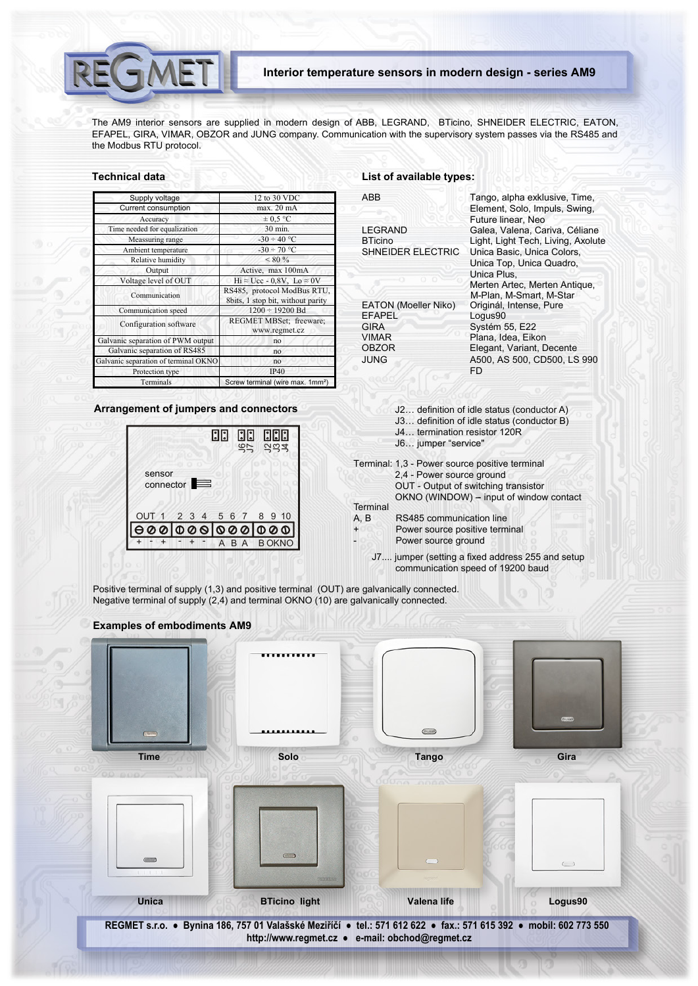The AM9 interior sensors are supplied in modern design of ABB, LEGRAND, BTicino, SHNEIDER ELECTRIC, EATON, EFAPEL, GIRA, VIMAR, OBZOR and JUNG company. Communication with the supervisory system passes via the RS485 and the Modbus RTU protocol.

# **Technical data**

**SMET** 

| Supply voltage                       | 12 to 30 VDC                                                     |  |  |
|--------------------------------------|------------------------------------------------------------------|--|--|
| <b>Current consumption</b>           | max. 20 mA                                                       |  |  |
| Accuracy                             | $\pm 0.5$ °C                                                     |  |  |
| Time needed for equalization         | 30 min.                                                          |  |  |
| Meassuring range                     | $-30 \div 40$ °C                                                 |  |  |
| Ambient temperature                  | $-30 \div 70$ °C                                                 |  |  |
| Relative humidity                    | $< 80\%$                                                         |  |  |
| Output                               | Active, max 100mA                                                |  |  |
| Voltage level of OUT                 | $Hi \approx Ucc - 0.8V$ , $Lo \approx 0V$                        |  |  |
| Communication                        | RS485, protocol ModBus RTU,<br>8bits, 1 stop bit, without parity |  |  |
| Communication speed                  | $1200 \div 19200$ Bd                                             |  |  |
| Configuration software               | REGMET MBSet; freeware;<br>www.regmet.cz                         |  |  |
| Galvanic separation of PWM output    | no                                                               |  |  |
| Galvanic separation of RS485         | no                                                               |  |  |
| Galvanic separation of terminal OKNO | no                                                               |  |  |
| Protection type                      | <b>IP40</b>                                                      |  |  |
| Terminals                            | Screw terminal (wire max. 1mm <sup>2</sup> )                     |  |  |

# **Arrangement of jumpers and connectors**



# **List of available types:**

| ABB                         |                                | Tango, alpha exklusive, Time,<br>Element, Solo, Impuls, Swing,<br>Future linear, Neo  |
|-----------------------------|--------------------------------|---------------------------------------------------------------------------------------|
| <b>LEGRAND</b>              |                                | Galea, Valena, Cariva, Céliane                                                        |
| <b>BTicino</b>              | SHNEIDER ELECTRIC              | Light, Light Tech, Living, Axolute<br>Unica Basic, Unica Colors,                      |
|                             |                                | Unica Top, Unica Quadro,                                                              |
|                             |                                | Unica Plus,                                                                           |
|                             |                                | Merten Artec, Merten Antique,                                                         |
|                             | EATON (Moeller Niko)           | M-Plan, M-Smart, M-Star<br>Originál, Intense, Pure                                    |
| EFAPEL                      |                                | Logus90                                                                               |
| <b>GIRA</b>                 |                                | Systém 55, E22                                                                        |
| <b>VIMAR</b>                |                                | Plana, Idea, Eikon                                                                    |
| <b>OBZOR</b><br><b>JUNG</b> |                                | Elegant, Variant, Decente                                                             |
|                             |                                | A500, AS 500, CD500, LS 990<br>FD.                                                    |
|                             |                                |                                                                                       |
|                             |                                |                                                                                       |
|                             |                                | J2 definition of idle status (conductor A)                                            |
|                             |                                | J3 definition of idle status (conductor B)                                            |
|                             | J4 termination resistor 120R   |                                                                                       |
|                             | J6 jumper "service"            |                                                                                       |
|                             |                                | Terminal: 1,3 - Power source positive terminal                                        |
|                             | 2,4 - Power source ground      |                                                                                       |
|                             |                                | OUT - Output of switching transistor                                                  |
| Terminal                    |                                | OKNO (WINDOW) - input of window contact                                               |
| A, B                        | RS485 communication line       |                                                                                       |
| $\ddot{}$                   | Power source positive terminal |                                                                                       |
|                             | Power source ground            |                                                                                       |
|                             |                                | J7 jumper (setting a fixed address 255 and setup<br>communication speed of 19200 baud |

Positive terminal of supply (1,3) and positive terminal (OUT) are galvanically connected.

Negative terminal of supply (2,4) and terminal OKNO (10) are galvanically connected.

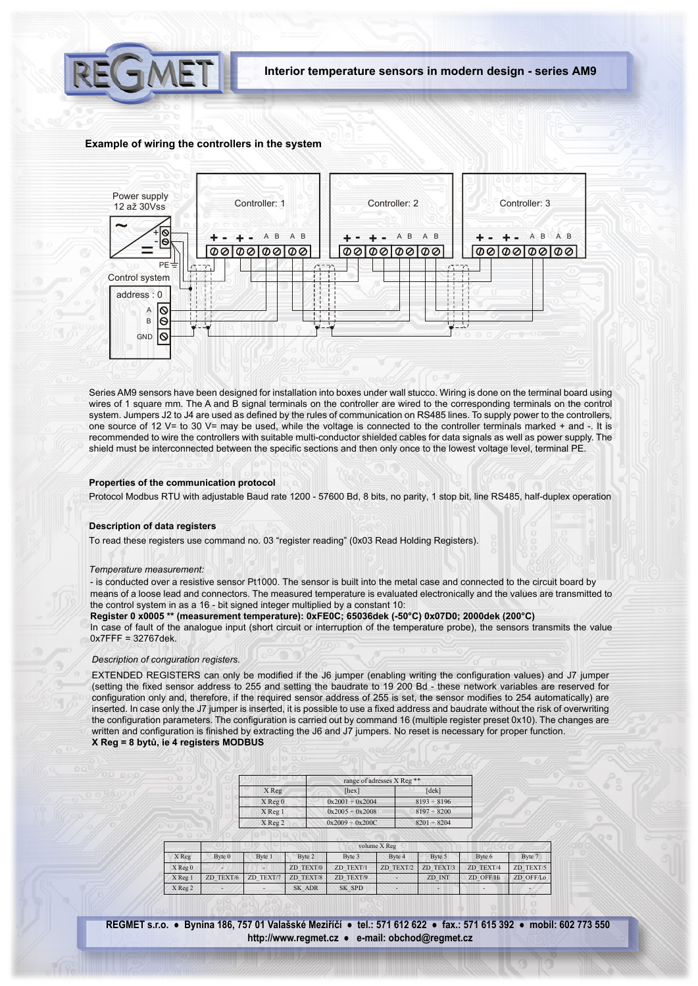

Interior temperature sensors in modern design - series AM9

## Example of wiring the controllers in the system



Series AM9 sensors have been designed for installation into boxes under wall stucco. Wiring is done on the terminal board using wires of 1 square mm. The A and B signal terminals on the controller are wired to the corresponding terminals on the control system. Jumpers J2 to J4 are used as defined by the rules of communication on RS485 lines. To supply power to the controllers, one source of 12 V= to 30 V= may be used, while the voltage is connected to the controller terminals marked + and -. It is recommended to wire the controllers with suitable multi-conductor shielded cables for data signals as well as power supply. The shield must be interconnected between the specific sections and then only once to the lowest voltage level, terminal PE.

## Properties of the communication protocol

Protocol Modbus RTU with adjustable Baud rate 1200 - 57600 Bd, 8 bits, no parity, 1 stop bit, line RS485, half-duplex operation

### **Description of data registers**

To read these registers use command no. 03 "register reading" (0x03 Read Holding Registers).

#### Temperature measurement:

- is conducted over a resistive sensor Pt1000. The sensor is built into the metal case and connected to the circuit board by means of a loose lead and connectors. The measured temperature is evaluated electronically and the values are transmitted to the control system in as a 16 - bit signed integer multiplied by a constant 10:

Register 0 x0005 \*\* (measurement temperature): 0xFE0C; 65036dek (-50°C) 0x07D0; 2000dek (200°C)

In case of fault of the analogue input (short circuit or interruption of the temperature probe), the sensors transmits the value  $0x7FFF = 32767$ dek.

# Description of conguration registers.

EXTENDED REGISTERS can only be modified if the J6 jumper (enabling writing the configuration values) and J7 jumper (setting the fixed sensor address to 255 and setting the baudrate to 19 200 Bd - these network variables are reserved for configuration only and, therefore, if the required sensor address of 255 is set, the sensor modifies to 254 automatically) are inserted. In case only the J7 jumper is inserted, it is possible to use a fixed address and baudrate without the risk of overwriting the configuration parameters. The configuration is carried out by command 16 (multiple register preset 0x10). The changes are written and configuration is finished by extracting the J6 and J7 jumpers. No reset is necessary for proper function. X Reg = 8 bytů, ie 4 registers MODBUS

| X Reg       | range of adresses X Reg <sup>**</sup> |                  |  |
|-------------|---------------------------------------|------------------|--|
|             | [hex]                                 | [dek]            |  |
| $X$ Reg $0$ | $0x2001 \div 0x2004$                  | $8193 \div 8196$ |  |
| X Reg 1     | $0x2005 \div 0x2008$                  | $8197 \div 8200$ |  |
| $X$ Reg 2   | $0x2009 \div 0x200C$                  | $8201 \div 8204$ |  |

|             | volume X Reg |           |           |           |           |           |           |           |
|-------------|--------------|-----------|-----------|-----------|-----------|-----------|-----------|-----------|
| X Reg       | Byte 0       | Byte 1    | Byte 2    | Byte 3    | Byte 4    | Byte 5    | Byte 6    | Byte 7    |
| $X$ Reg $0$ |              |           | ZD TEXT/0 | ZD TEXT/1 | ZD TEXT/2 | ZD TEXT/3 | ZD TEXT/4 | ZD TEXT/5 |
| X Reg 1     | ZD TEXT/6    | ZD TEXT/7 | ZD TEXT/8 | ZD TEXT/9 |           | ZD INT    | ZD OFF/Hi | ZD OFF/Lo |
| X Reg 2     |              |           | SK ADR    | SK SPD    |           | -         |           |           |

REGMET s.r.o. · Bynina 186, 757 01 Valašské Meziříčí · tel.: 571 612 622 · fax.: 571 615 392 · mobil: 602 773 550 http://www.regmet.cz · e-mail: obchod@regmet.cz